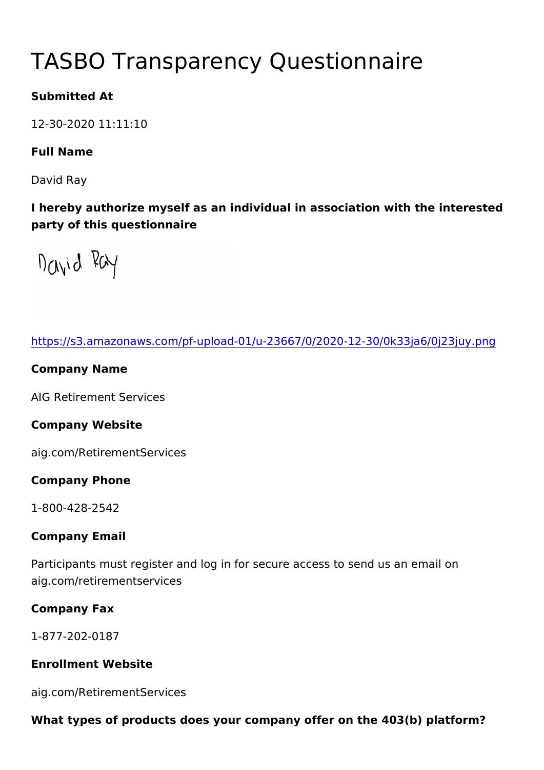# TASBO Transparency Questionna

Submitted At

12-30-2020 11:11:10

Full Name

David Ray

I hereby authorize myself as an individual in association with the party of this questionnaire

[https://s3.amazonaws.com/pf-upload-01/u-23667/0/2020-12-](https://s3.amazonaws.com/pf-upload-01/u-23667/0/2020-12-30/0k33ja6/0j23juy.png)30/0k3

Company Name

AIG Retirement Services

Company Website

aig.com/RetirementServices

Company Phone

1-800-428-2542

Company Email

Participants must register and log in for secure access to send u aig.com/retirementservices

Company Fax

1-877-202-0187

Enrollment Website

aig.com/RetirementServices

What types of products does your company offer on the  $403(b)$  platform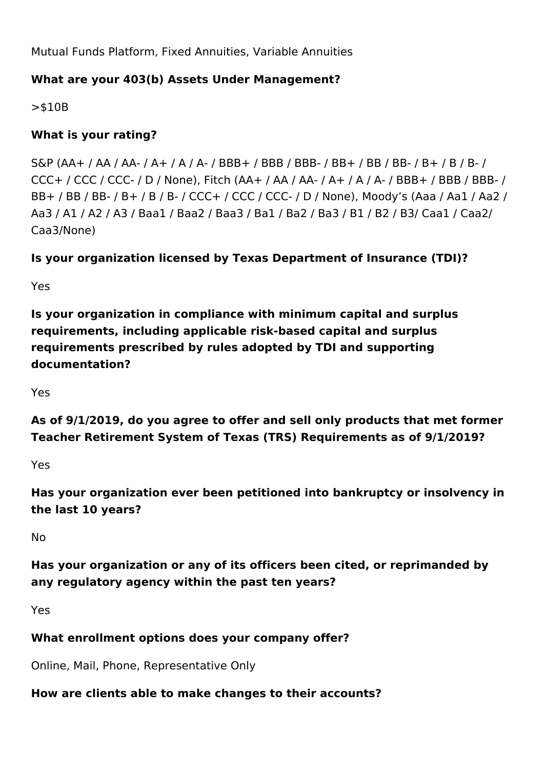Mutual Funds Platform, Fixed Annuities, Variable Annuities

#### **What are your 403(b) Assets Under Management?**

>\$10B

## **What is your rating?**

S&P (AA+ / AA / AA- / A+ / A / A- / BBB+ / BBB / BBB- / BB+ / BB / BB- / B+ / B / B- / CCC+ / CCC / CCC- / D / None), Fitch (AA+ / AA / AA- / A+ / A / A- / BBB+ / BBB / BBB- / BB+ / BB / BB- / B+ / B / B- / CCC+ / CCC / CCC- / D / None), Moody's (Aaa / Aa1 / Aa2 / Aa3 / A1 / A2 / A3 / Baa1 / Baa2 / Baa3 / Ba1 / Ba2 / Ba3 / B1 / B2 / B3/ Caa1 / Caa2/ Caa3/None)

## **Is your organization licensed by Texas Department of Insurance (TDI)?**

Yes

**Is your organization in compliance with minimum capital and surplus requirements, including applicable risk-based capital and surplus requirements prescribed by rules adopted by TDI and supporting documentation?**

Yes

**As of 9/1/2019, do you agree to offer and sell only products that met former Teacher Retirement System of Texas (TRS) Requirements as of 9/1/2019?**

Yes

**Has your organization ever been petitioned into bankruptcy or insolvency in the last 10 years?**

No

**Has your organization or any of its officers been cited, or reprimanded by any regulatory agency within the past ten years?**

Yes

#### **What enrollment options does your company offer?**

Online, Mail, Phone, Representative Only

# **How are clients able to make changes to their accounts?**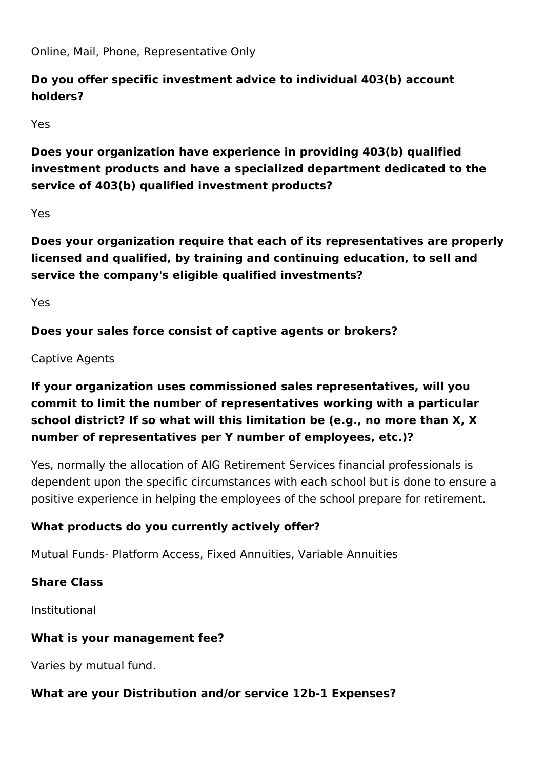Online, Mail, Phone, Representative Only

# **Do you offer specific investment advice to individual 403(b) account holders?**

Yes

**Does your organization have experience in providing 403(b) qualified investment products and have a specialized department dedicated to the service of 403(b) qualified investment products?**

Yes

**Does your organization require that each of its representatives are properly licensed and qualified, by training and continuing education, to sell and service the company's eligible qualified investments?** 

Yes

**Does your sales force consist of captive agents or brokers?**

#### Captive Agents

# **If your organization uses commissioned sales representatives, will you commit to limit the number of representatives working with a particular school district? If so what will this limitation be (e.g., no more than X, X number of representatives per Y number of employees, etc.)?**

Yes, normally the allocation of AIG Retirement Services financial professionals is dependent upon the specific circumstances with each school but is done to ensure a positive experience in helping the employees of the school prepare for retirement.

# **What products do you currently actively offer?**

Mutual Funds- Platform Access, Fixed Annuities, Variable Annuities

# **Share Class**

Institutional

#### **What is your management fee?**

Varies by mutual fund.

#### **What are your Distribution and/or service 12b-1 Expenses?**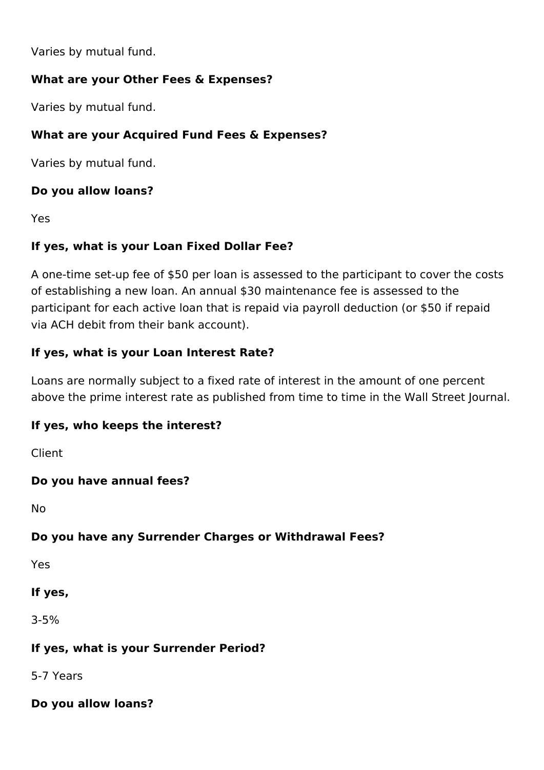Varies by mutual fund.

#### **What are your Other Fees & Expenses?**

Varies by mutual fund.

## **What are your Acquired Fund Fees & Expenses?**

Varies by mutual fund.

## **Do you allow loans?**

Yes

## **If yes, what is your Loan Fixed Dollar Fee?**

A one-time set-up fee of \$50 per loan is assessed to the participant to cover the costs of establishing a new loan. An annual \$30 maintenance fee is assessed to the participant for each active loan that is repaid via payroll deduction (or \$50 if repaid via ACH debit from their bank account).

## **If yes, what is your Loan Interest Rate?**

Loans are normally subject to a fixed rate of interest in the amount of one percent above the prime interest rate as published from time to time in the Wall Street Journal.

#### **If yes, who keeps the interest?**

Client

#### **Do you have annual fees?**

No

#### **Do you have any Surrender Charges or Withdrawal Fees?**

Yes

#### **If yes,**

3-5%

#### **If yes, what is your Surrender Period?**

5-7 Years

#### **Do you allow loans?**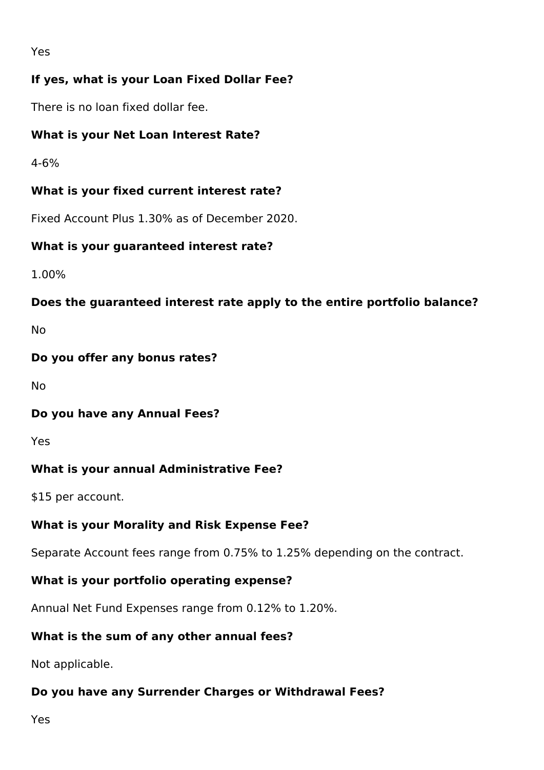## **If yes, what is your Loan Fixed Dollar Fee?**

There is no loan fixed dollar fee.

#### **What is your Net Loan Interest Rate?**

4-6%

#### **What is your fixed current interest rate?**

Fixed Account Plus 1.30% as of December 2020.

#### **What is your guaranteed interest rate?**

1.00%

#### **Does the guaranteed interest rate apply to the entire portfolio balance?**

No

#### **Do you offer any bonus rates?**

No

#### **Do you have any Annual Fees?**

Yes

#### **What is your annual Administrative Fee?**

\$15 per account.

#### **What is your Morality and Risk Expense Fee?**

Separate Account fees range from 0.75% to 1.25% depending on the contract.

# **What is your portfolio operating expense?**

Annual Net Fund Expenses range from 0.12% to 1.20%.

# **What is the sum of any other annual fees?**

Not applicable.

# **Do you have any Surrender Charges or Withdrawal Fees?**

Yes